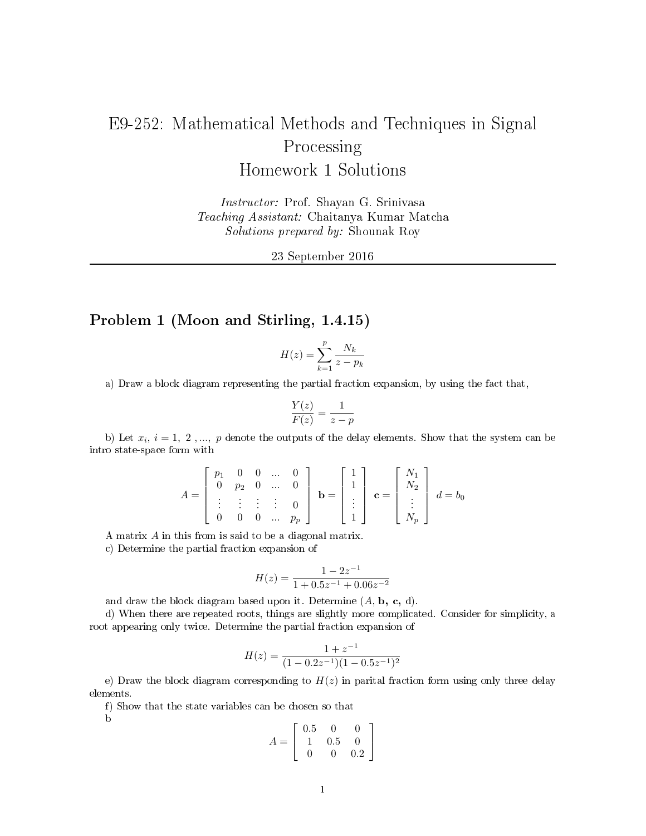# E9-252: Mathematical Methods and Techniques in Signal Processing Homework 1 Solutions

Instructor: Prof. Shayan G. Srinivasa Teaching Assistant: Chaitanya Kumar Matcha Solutions prepared by: Shounak Roy

23 September 2016

## Problem 1 (Moon and Stirling, 1.4.15)

$$
H(z) = \sum_{k=1}^{p} \frac{N_k}{z - p_k}
$$

a) Draw a block diagram representing the partial fraction expansion, by using the fact that,

$$
\frac{Y(z)}{F(z)} = \frac{1}{z - p}
$$

b) Let  $x_i$ ,  $i = 1, 2, ..., p$  denote the outputs of the delay elements. Show that the system can be intro state-space form with

$$
A = \begin{bmatrix} p_1 & 0 & 0 & \dots & 0 \\ 0 & p_2 & 0 & \dots & 0 \\ \vdots & \vdots & \vdots & \vdots & 0 \\ 0 & 0 & 0 & \dots & p_p \end{bmatrix} \mathbf{b} = \begin{bmatrix} 1 \\ 1 \\ \vdots \\ 1 \end{bmatrix} \mathbf{c} = \begin{bmatrix} N_1 \\ N_2 \\ \vdots \\ N_p \end{bmatrix} d = b_0
$$

A matrix A in this from is said to be a diagonal matrix.

c) Determine the partial fraction expansion of

$$
H(z)=\frac{1-2z^{-1}}{1+0.5z^{-1}+0.06z^{-2}}
$$

and draw the block diagram based upon it. Determine  $(A, b, c, d)$ .

d) When there are repeated roots, things are slightly more complicated. Consider for simplicity, a root appearing only twice. Determine the partial fraction expansion of

$$
H(z) = \frac{1 + z^{-1}}{(1 - 0.2z^{-1})(1 - 0.5z^{-1})^2}
$$

e) Draw the block diagram corresponding to  $H(z)$  in parital fraction form using only three delay elements.

f) Show that the state variables can be chosen so that

b

$$
A = \left[ \begin{array}{rrr} 0.5 & 0 & 0 \\ 1 & 0.5 & 0 \\ 0 & 0 & 0.2 \end{array} \right]
$$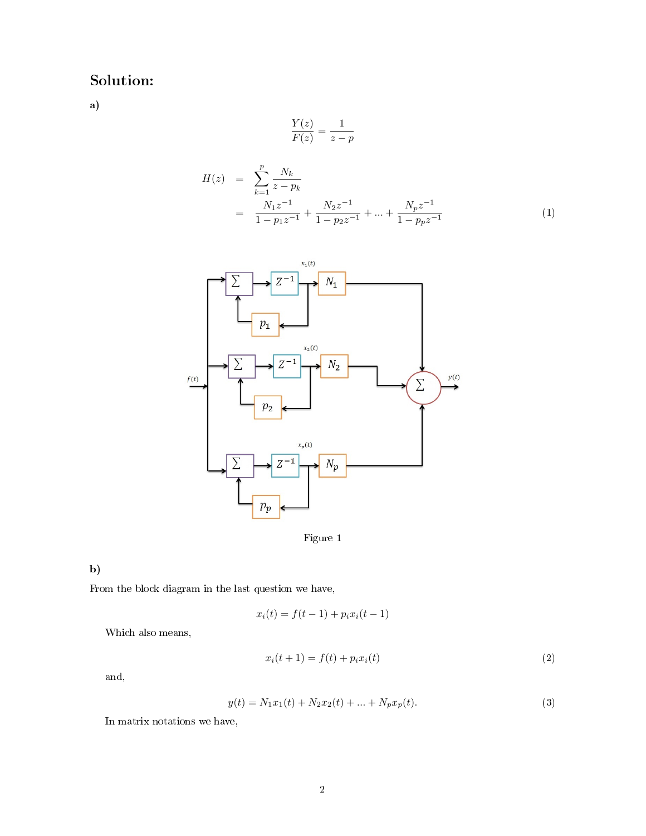# Solution:

a)

$$
\frac{Y(z)}{F(z)} = \frac{1}{z - p}
$$

$$
H(z) = \sum_{k=1}^{p} \frac{N_k}{z - p_k}
$$
  
= 
$$
\frac{N_1 z^{-1}}{1 - p_1 z^{-1}} + \frac{N_2 z^{-1}}{1 - p_2 z^{-1}} + \dots + \frac{N_p z^{-1}}{1 - p_p z^{-1}}
$$
 (1)



Figure 1

### b)

From the block diagram in the last question we have,

$$
x_i(t) = f(t-1) + p_i x_i(t-1)
$$

Which also means,

$$
x_i(t+1) = f(t) + p_i x_i(t)
$$
 (2)

and,

$$
y(t) = N_1 x_1(t) + N_2 x_2(t) + \dots + N_p x_p(t).
$$
\n(3)

In matrix notations we have,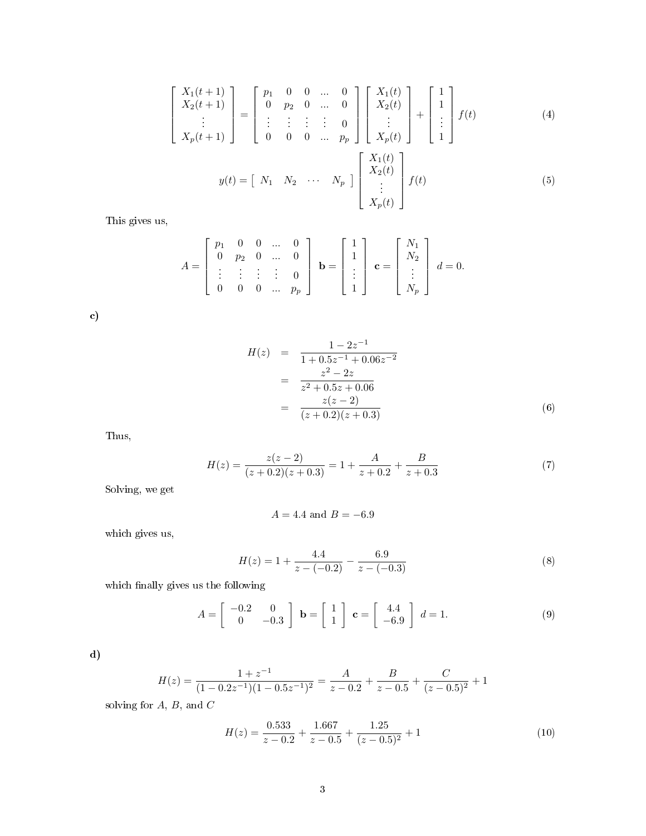$$
\begin{aligned}\n\begin{bmatrix}\nX_1(t+1) \\
X_2(t+1) \\
\vdots \\
X_p(t+1)\n\end{bmatrix} &=\n\begin{bmatrix}\np_1 & 0 & 0 & \dots & 0 \\
0 & p_2 & 0 & \dots & 0 \\
\vdots & \vdots & \vdots & \vdots & 0 \\
0 & 0 & 0 & \dots & p_p\n\end{bmatrix}\n\begin{bmatrix}\nX_1(t) \\
X_2(t) \\
\vdots \\
X_p(t)\n\end{bmatrix} +\n\begin{bmatrix}\n1 \\
1 \\
\vdots \\
1\n\end{bmatrix} f(t)\n\end{aligned} (4)
$$
\n
$$
y(t) = [N_1 \ N_2 \ \dots \ N_p] \begin{bmatrix}\nX_1(t) \\
X_2(t) \\
\vdots \\
X_p(t)\n\end{bmatrix} f(t)\n\tag{5}
$$

This gives us,

 $\lceil$  $\overline{1}$  $\overline{1}$  $\overline{1}$  $\overline{1}$ 

$$
A = \begin{bmatrix} p_1 & 0 & 0 & \dots & 0 \\ 0 & p_2 & 0 & \dots & 0 \\ \vdots & \vdots & \vdots & \vdots & 0 \\ 0 & 0 & 0 & \dots & p_p \end{bmatrix} \mathbf{b} = \begin{bmatrix} 1 \\ 1 \\ \vdots \\ 1 \end{bmatrix} \mathbf{c} = \begin{bmatrix} N_1 \\ N_2 \\ \vdots \\ N_p \end{bmatrix} d = 0.
$$

c)

$$
H(z) = \frac{1 - 2z^{-1}}{1 + 0.5z^{-1} + 0.06z^{-2}}
$$
  
= 
$$
\frac{z^2 - 2z}{z^2 + 0.5z + 0.06}
$$
  
= 
$$
\frac{z(z - 2)}{(z + 0.2)(z + 0.3)}
$$
(6)

Thus,

$$
H(z) = \frac{z(z-2)}{(z+0.2)(z+0.3)} = 1 + \frac{A}{z+0.2} + \frac{B}{z+0.3}
$$
 (7)

Solving, we get

$$
A = 4.4
$$
 and  $B = -6.9$ 

which gives us,

$$
H(z) = 1 + \frac{4.4}{z - (-0.2)} - \frac{6.9}{z - (-0.3)}
$$
\n(8)

which finally gives us the following

$$
A = \begin{bmatrix} -0.2 & 0 \\ 0 & -0.3 \end{bmatrix} \quad \mathbf{b} = \begin{bmatrix} 1 \\ 1 \end{bmatrix} \quad \mathbf{c} = \begin{bmatrix} 4.4 \\ -6.9 \end{bmatrix} \quad d = 1. \tag{9}
$$

d)

$$
H(z) = \frac{1+z^{-1}}{(1-0.2z^{-1})(1-0.5z^{-1})^2} = \frac{A}{z-0.2} + \frac{B}{z-0.5} + \frac{C}{(z-0.5)^2} + 1
$$

solving for  $A, B$ , and  $C$ 

$$
H(z) = \frac{0.533}{z - 0.2} + \frac{1.667}{z - 0.5} + \frac{1.25}{(z - 0.5)^2} + 1
$$
\n(10)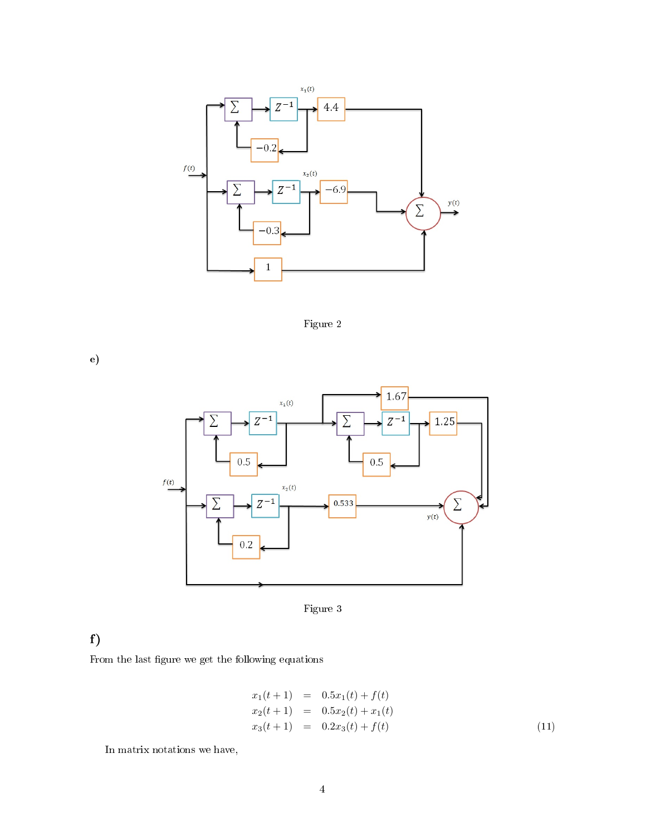

Figure 2

e)



Figure 3

## f)

From the last figure we get the following equations

$$
x_1(t+1) = 0.5x_1(t) + f(t)
$$
  
\n
$$
x_2(t+1) = 0.5x_2(t) + x_1(t)
$$
  
\n
$$
x_3(t+1) = 0.2x_3(t) + f(t)
$$
\n(11)

In matrix notations we have,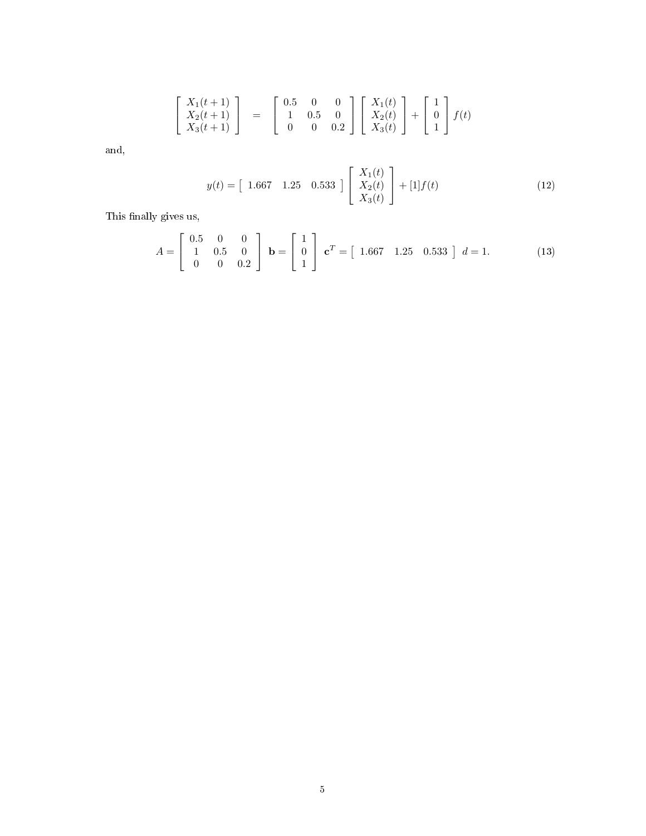$$
\begin{bmatrix} X_1(t+1) \\ X_2(t+1) \\ X_3(t+1) \end{bmatrix} = \begin{bmatrix} 0.5 & 0 & 0 \\ 1 & 0.5 & 0 \\ 0 & 0 & 0.2 \end{bmatrix} \begin{bmatrix} X_1(t) \\ X_2(t) \\ X_3(t) \end{bmatrix} + \begin{bmatrix} 1 \\ 0 \\ 1 \end{bmatrix} f(t)
$$

and,

$$
y(t) = \begin{bmatrix} 1.667 & 1.25 & 0.533 \end{bmatrix} \begin{bmatrix} X_1(t) \\ X_2(t) \\ X_3(t) \end{bmatrix} + [1]f(t) \tag{12}
$$

This finally gives us,

$$
A = \begin{bmatrix} 0.5 & 0 & 0 \\ 1 & 0.5 & 0 \\ 0 & 0 & 0.2 \end{bmatrix} \quad \mathbf{b} = \begin{bmatrix} 1 \\ 0 \\ 1 \end{bmatrix} \quad \mathbf{c}^T = \begin{bmatrix} 1.667 & 1.25 & 0.533 \end{bmatrix} \quad d = 1. \tag{13}
$$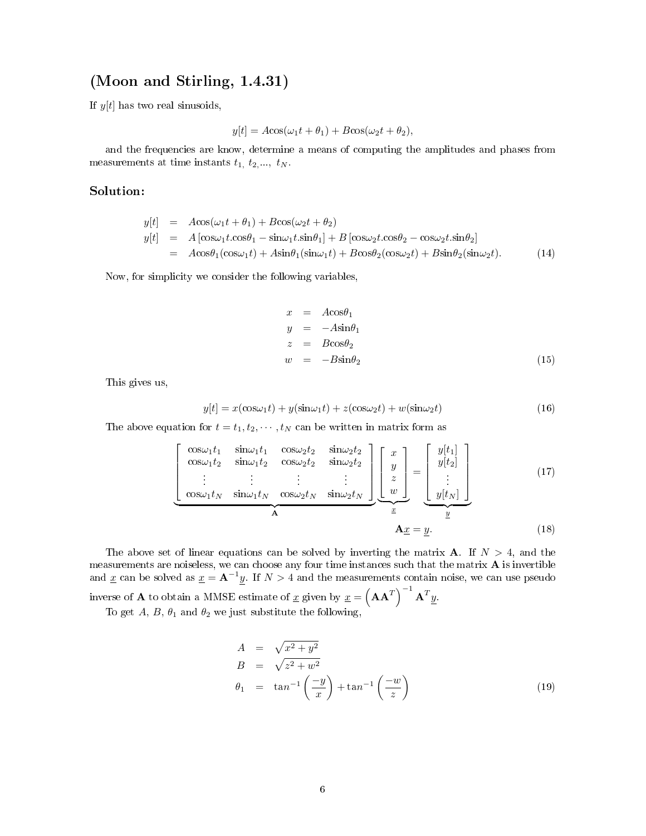### (Moon and Stirling, 1.4.31)

If  $y[t]$  has two real sinusoids,

$$
y[t] = A\cos(\omega_1 t + \theta_1) + B\cos(\omega_2 t + \theta_2),
$$

and the frequencies are know, determine a means of computing the amplitudes and phases from measurements at time instants  $t_1, t_2, \ldots, t_N$ .

#### Solution:

$$
y[t] = A\cos(\omega_1 t + \theta_1) + B\cos(\omega_2 t + \theta_2)
$$
  
\n
$$
y[t] = A[\cos\omega_1 t \cdot \cos\theta_1 - \sin\omega_1 t \cdot \sin\theta_1] + B[\cos\omega_2 t \cdot \cos\theta_2 - \cos\omega_2 t \cdot \sin\theta_2]
$$
  
\n
$$
= A\cos\theta_1(\cos\omega_1 t) + A\sin\theta_1(\sin\omega_1 t) + B\cos\theta_2(\cos\omega_2 t) + B\sin\theta_2(\sin\omega_2 t).
$$
 (14)

Now, for simplicity we consider the following variables,

$$
x = Acos\theta_1
$$
  
\n
$$
y = -Asin\theta_1
$$
  
\n
$$
z = Bcos\theta_2
$$
  
\n
$$
w = -Bsin\theta_2
$$
\n(15)

This gives us,

$$
y[t] = x(\cos\omega_1 t) + y(\sin\omega_1 t) + z(\cos\omega_2 t) + w(\sin\omega_2 t)
$$
\n(16)

The above equation for  $t = t_1, t_2, \cdots, t_N$  can be written in matrix form as

$$
\left[\begin{array}{ccc}\n\cos\omega_1 t_1 & \sin\omega_1 t_1 & \cos\omega_2 t_2 & \sin\omega_2 t_2 \\
\cos\omega_1 t_2 & \sin\omega_1 t_2 & \cos\omega_2 t_2 & \sin\omega_2 t_2 \\
\vdots & \vdots & \vdots & \vdots \\
\cos\omega_1 t_N & \sin\omega_1 t_N & \cos\omega_2 t_N & \sin\omega_2 t_N\n\end{array}\right]\n\left[\begin{array}{c}\nx \\
y \\
z \\
w\n\end{array}\right] = \n\left[\begin{array}{c}\ny[t_1] \\
y[t_2] \\
\vdots \\
y[t_N]\n\end{array}\right]
$$
\n(17)\n  
\nA\n  
\n
$$
\mathbf{A}\underline{x} = y.
$$
\n(18)

The above set of linear equations can be solved by inverting the matrix **A**. If  $N > 4$ , and the measurements are noiseless, we can choose any four time instances such that the matrix A is invertible and <u>x</u> can be solved as  $\underline{x} = \mathbf{A}^{-1}y$ . If  $N > 4$  and the measurements contain noise, we can use pseudo inverse of **A** to obtain a MMSE estimate of <u>x</u> given by  $x = (\mathbf{A}\mathbf{A}^T)^{-1} \mathbf{A}^T y$ . To get A, B,  $\theta_1$  and  $\theta_2$  we just substitute the following,

$$
A = \sqrt{x^2 + y^2}
$$
  
\n
$$
B = \sqrt{z^2 + w^2}
$$
  
\n
$$
\theta_1 = \tan^{-1}\left(\frac{-y}{x}\right) + \tan^{-1}\left(\frac{-w}{z}\right)
$$
\n(19)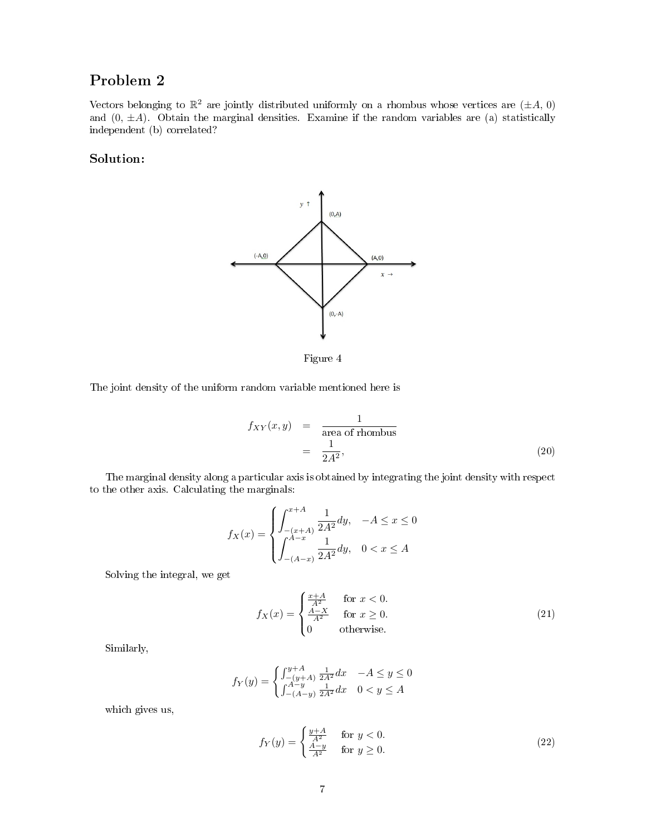# Problem 2

Vectors belonging to  $\mathbb{R}^2$  are jointly distributed uniformly on a rhombus whose vertices are  $(\pm A, 0)$ and  $(0, \pm A)$ . Obtain the marginal densities. Examine if the random variables are (a) statistically independent (b) correlated?

### Solution:



Figure 4

The joint density of the uniform random variable mentioned here is

$$
f_{XY}(x, y) = \frac{1}{\text{area of rhombus}}
$$
  
=  $\frac{1}{2A^2}$ , (20)

The marginal density along a particular axis is obtained by integrating the joint density with respect to the other axis. Calculating the marginals:

$$
f_X(x) = \begin{cases} \int_{-(x+A)}^{x+A} \frac{1}{2A^2} dy, & -A \le x \le 0\\ \int_{-(A-x)}^{A-x} \frac{1}{2A^2} dy, & 0 < x \le A \end{cases}
$$

Solving the integral, we get

$$
f_X(x) = \begin{cases} \frac{x+A}{A^2} & \text{for } x < 0. \\ \frac{A-X}{A^2} & \text{for } x \ge 0. \\ 0 & \text{otherwise.} \end{cases}
$$
 (21)

Similarly,

$$
f_Y(y) = \begin{cases} \int_{-(y+A)}^{y+A} \frac{1}{2A^2} dx & -A \le y \le 0\\ \int_{-(A-y)}^{A-y} \frac{1}{2A^2} dx & 0 < y \le A \end{cases}
$$

which gives us,

$$
f_Y(y) = \begin{cases} \frac{y+A}{A^2} & \text{for } y < 0. \\ \frac{A-y}{A^2} & \text{for } y \ge 0. \end{cases} \tag{22}
$$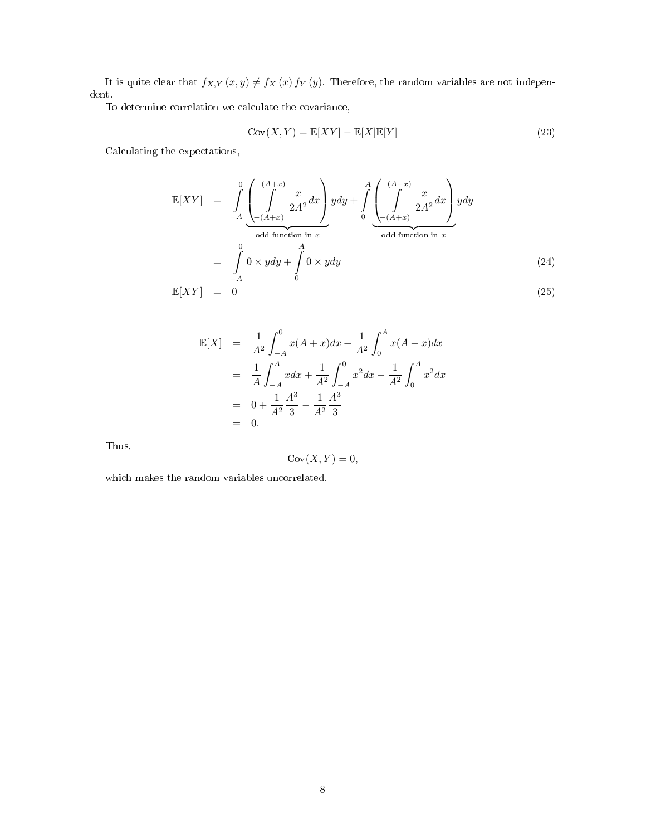It is quite clear that  $f_{X,Y}(x,y) \neq f_X(x) f_Y(y)$ . Therefore, the random variables are not independent.

To determine correlation we calculate the covariance,

$$
Cov(X, Y) = \mathbb{E}[XY] - \mathbb{E}[X]\mathbb{E}[Y]
$$
\n(23)

Calculating the expectations,

$$
\mathbb{E}[XY] = \int_{-A}^{0} \underbrace{\left(\int_{-(A+x)}^{(A+x)} \frac{x}{2A^2} dx\right)}_{odd function in x} y dy + \int_{0}^{A} \underbrace{\left(\int_{-(A+x)}^{(A+x)} \frac{x}{2A^2} dx\right)}_{odd function in x} y dy
$$
\n
$$
= \int_{-A}^{0} 0 \times y dy + \int_{0}^{A} 0 \times y dy
$$
\n
$$
\mathbb{E}[XY] = 0
$$
\n(25)

$$
\mathbb{E}[X] = \frac{1}{A^2} \int_{-A}^{0} x(A+x)dx + \frac{1}{A^2} \int_{0}^{A} x(A-x)dx
$$
  
=  $\frac{1}{A} \int_{-A}^{A} xdx + \frac{1}{A^2} \int_{-A}^{0} x^2 dx - \frac{1}{A^2} \int_{0}^{A} x^2 dx$   
=  $0 + \frac{1}{A^2} \frac{A^3}{3} - \frac{1}{A^2} \frac{A^3}{3}$   
= 0.

Thus,

$$
Cov(X, Y) = 0,
$$

which makes the random variables uncorrelated.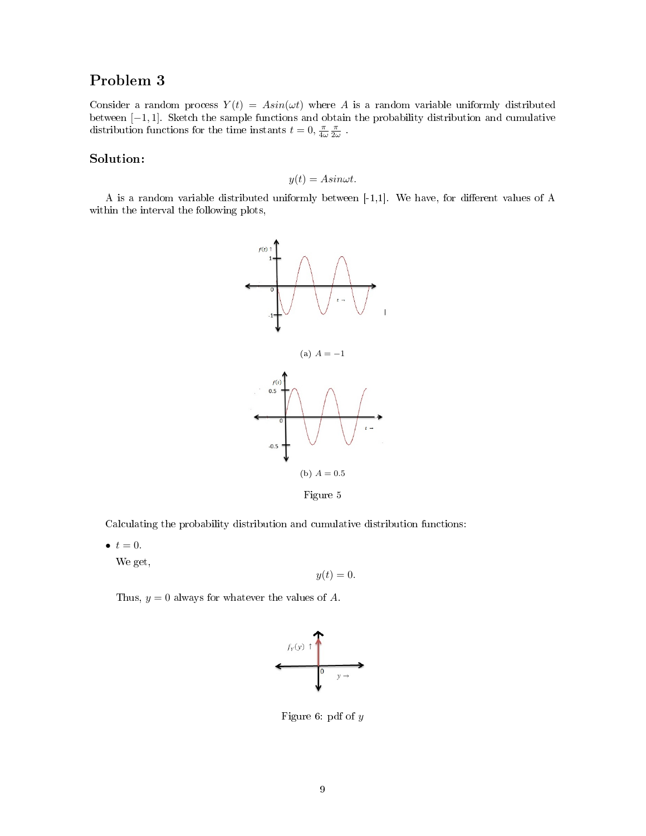# Problem 3

Consider a random process  $Y(t) = Asin(\omega t)$  where A is a random variable uniformly distributed between [−1, 1]. Sketch the sample functions and obtain the probability distribution and cumulative distribution functions for the time instants  $t = 0$ ,  $\frac{\pi}{4\omega} \frac{\pi}{2\omega}$ .

#### Solution:

$$
y(t) = Asin\omega t.
$$

A is a random variable distributed uniformly between  $[-1,1]$ . We have, for different values of A within the interval the following plots,



Figure 5

Calculating the probability distribution and cumulative distribution functions:

 $\bullet$   $t = 0$ .

We get,

$$
y(t) = 0.
$$

Thus,  $y = 0$  always for whatever the values of A.



Figure 6: pdf of y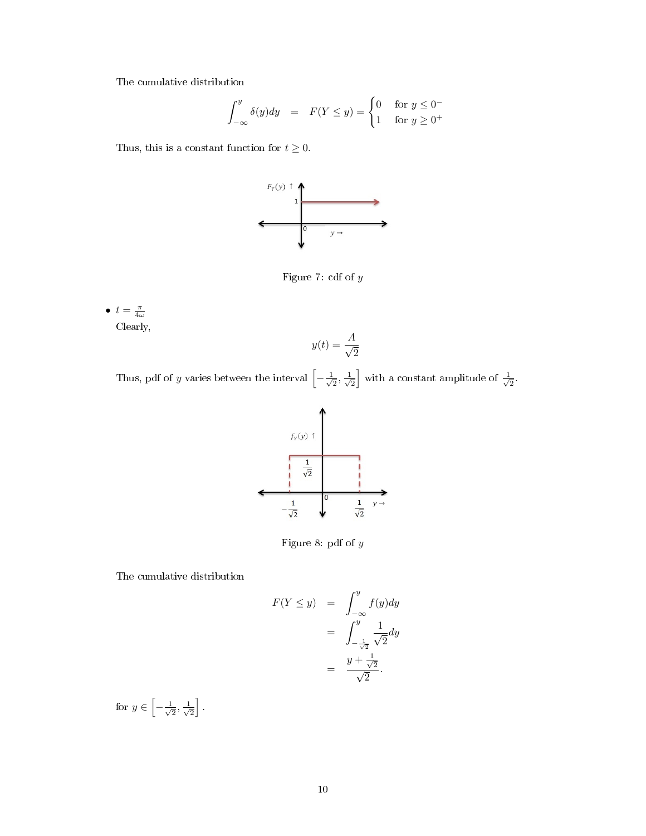The cumulative distribution

$$
\int_{-\infty}^{y} \delta(y) dy = F(Y \le y) = \begin{cases} 0 & \text{for } y \le 0^- \\ 1 & \text{for } y \ge 0^+ \end{cases}
$$

Thus, this is a constant function for  $t \geq 0$ .



Figure 7: cdf of  $\boldsymbol{y}$ 

 $\bullet$   $t = \frac{\pi}{4\omega}$ Clearly,

$$
y(t) = \frac{A}{\sqrt{2}}
$$

Thus, pdf of y varies between the interval  $\begin{bmatrix} - & 1 \\ - & \end{bmatrix}$  $\frac{1}{2}, \frac{1}{\sqrt{2}}$  $\frac{1}{2}$  with a constant amplitude of  $\frac{1}{\sqrt{2}}$  $\overline{2}$ .



Figure 8: pdf of  $y$ 

The cumulative distribution

$$
F(Y \le y) = \int_{-\infty}^{y} f(y) dy
$$
  
= 
$$
\int_{-\frac{1}{\sqrt{2}}}^{y} \frac{1}{\sqrt{2}} dy
$$
  
= 
$$
\frac{y + \frac{1}{\sqrt{2}}}{\sqrt{2}}.
$$

for  $y \in \left[-\frac{1}{\sqrt{2}}\right]$  $\frac{1}{2}, \frac{1}{\sqrt{2}}$  $\frac{1}{2}$ .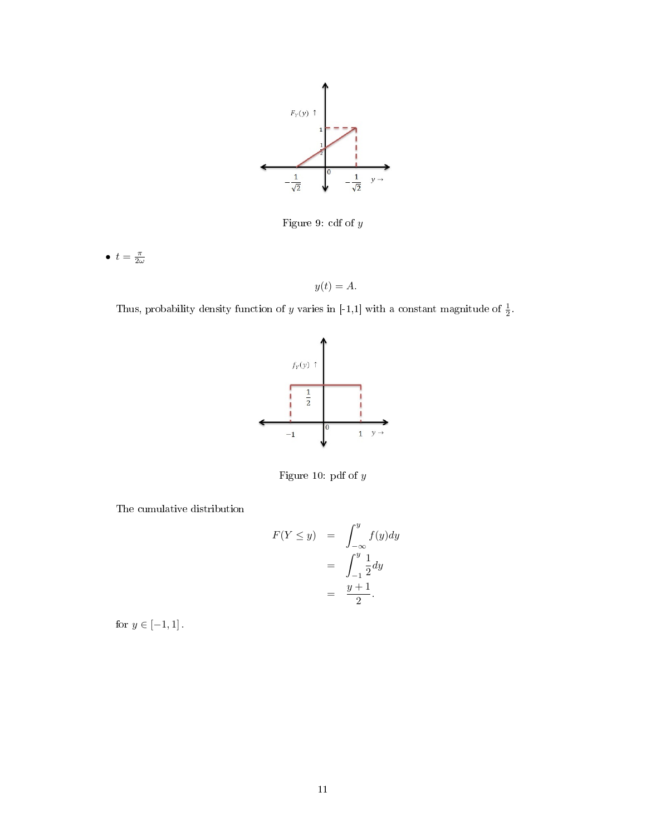

Figure 9: cdf of y

•  $t = \frac{\pi}{2\omega}$ 

 $y(t) = A.$ 

Thus, probability density function of y varies in [-1,1] with a constant magnitude of  $\frac{1}{2}$ .



Figure 10: pdf of y

The cumulative distribution

$$
F(Y \le y) = \int_{-\infty}^{y} f(y) dy
$$
  
= 
$$
\int_{-1}^{y} \frac{1}{2} dy
$$
  
= 
$$
\frac{y+1}{2}.
$$

for  $y\in[-1,1]$  .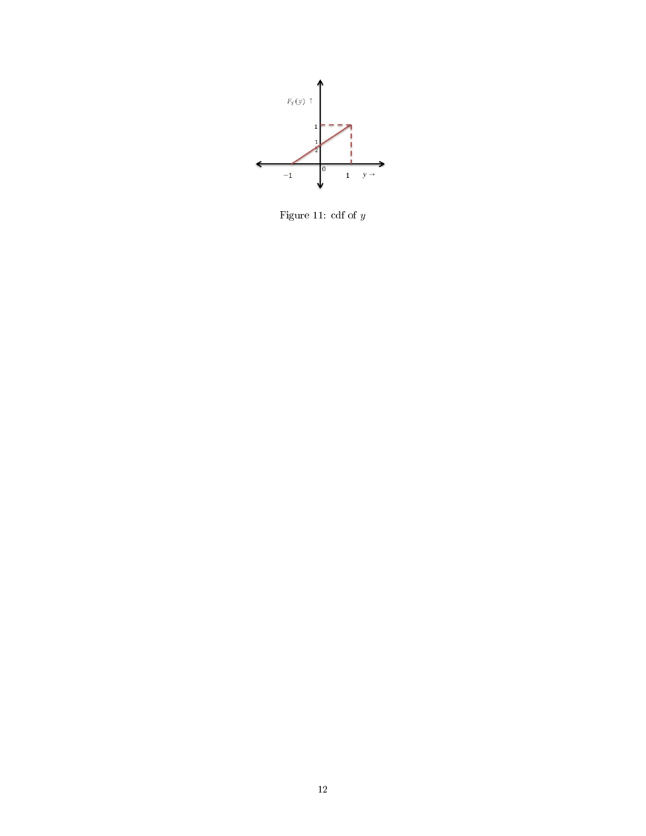

Figure 11: cdf of  $y$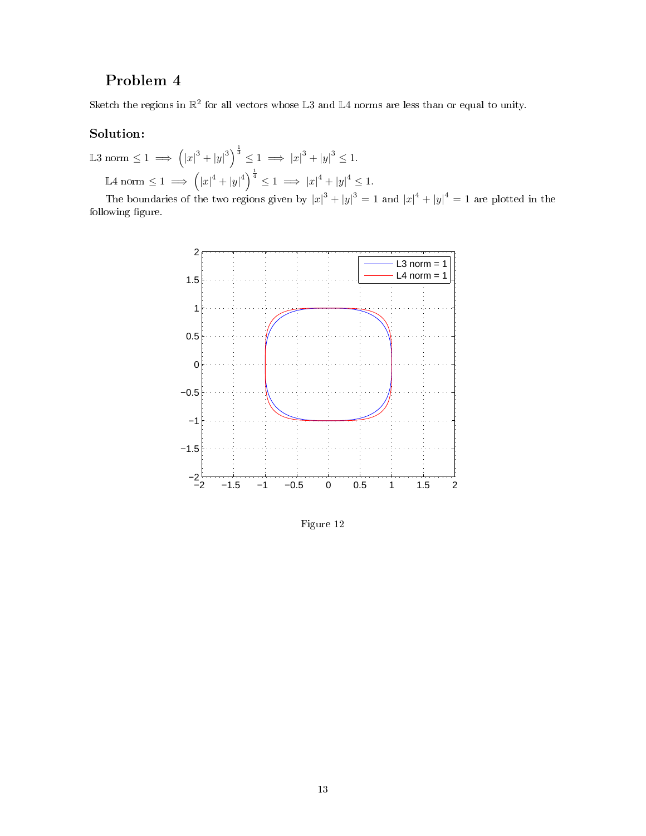# Problem 4

Sketch the regions in  $\mathbb{R}^2$  for all vectors whose L3 and L4 norms are less than or equal to unity.

### Solution:

L3 norm  $\leq 1 \implies (|x|^3 + |y|^3)^{\frac{1}{3}} \leq 1 \implies |x|^3 + |y|^3 \leq 1.$ L4 norm  $\leq 1 \implies (|x|^4 + |y|^4)^{\frac{1}{4}} \leq 1 \implies |x|^4 + |y|^4 \leq 1.$ 

The boundaries of the two regions given by  $|x|^3 + |y|^3 = 1$  and  $|x|^4 + |y|^4 = 1$  are plotted in the following figure.



Figure 12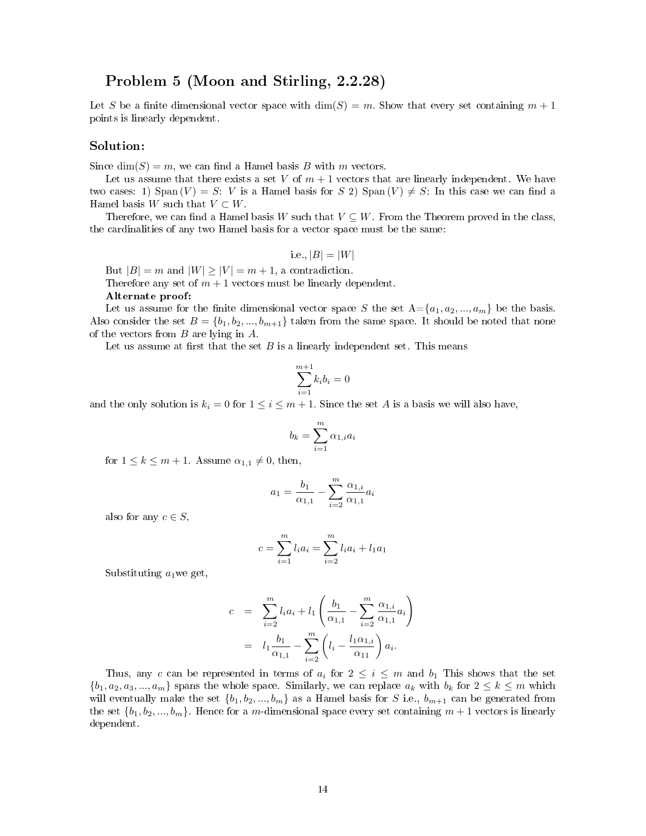### Problem 5 (Moon and Stirling, 2.2.28)

Let S be a finite dimensional vector space with  $\dim(S) = m$ . Show that every set containing  $m + 1$ points is linearly dependent.

#### Solution:

Since  $\dim(S) = m$ , we can find a Hamel basis B with m vectors.

Let us assume that there exists a set V of  $m + 1$  vectors that are linearly independent. We have two cases: 1) Span  $(V) = S$ : V is a Hamel basis for S 2) Span  $(V) \neq S$ : In this case we can find a Hamel basis W such that  $V \subset W$ .

Therefore, we can find a Hamel basis W such that  $V \subseteq W$ . From the Theorem proved in the class, the cardinalities of any two Hamel basis for a vector space must be the same:

i.e.,  $|B| = |W|$ 

But  $|B| = m$  and  $|W| \ge |V| = m + 1$ , a contradiction.

Therefore any set of  $m + 1$  vectors must be linearly dependent.

#### Alternate proof:

Let us assume for the finite dimensional vector space S the set  $A = \{a_1, a_2, ..., a_m\}$  be the basis. Also consider the set  $B = \{b_1, b_2, ..., b_{m+1}\}\$  taken from the same space. It should be noted that none of the vectors from B are lying in A.

Let us assume at first that the set  $B$  is a linearly independent set. This means

$$
\sum_{i=1}^{m+1} k_i b_i = 0
$$

and the only solution is  $k_i = 0$  for  $1 \leq i \leq m+1$ . Since the set A is a basis we will also have,

$$
b_k = \sum_{i=1}^m \alpha_{1,i} a_i
$$

for  $1 \leq k \leq m+1$ . Assume  $\alpha_{1,1} \neq 0$ , then,

$$
a_1 = \frac{b_1}{\alpha_{1,1}} - \sum_{i=2}^{m} \frac{\alpha_{1,i}}{\alpha_{1,1}} a_i
$$

also for any  $c \in S$ ,

$$
c = \sum_{i=1}^{m} l_i a_i = \sum_{i=2}^{m} l_i a_i + l_1 a_1
$$

Substituting  $a_1$  we get,

$$
c = \sum_{i=2}^{m} l_i a_i + l_1 \left( \frac{b_1}{\alpha_{1,1}} - \sum_{i=2}^{m} \frac{\alpha_{1,i}}{\alpha_{1,1}} a_i \right)
$$
  
=  $l_1 \frac{b_1}{\alpha_{1,1}} - \sum_{i=2}^{m} \left( l_i - \frac{l_1 \alpha_{1,i}}{\alpha_{11}} \right) a_i.$ 

Thus, any c can be represented in terms of  $a_i$  for  $2 \leq i \leq m$  and  $b_1$  This shows that the set  $\{b_1, a_2, a_3, ..., a_m\}$  spans the whole space. Similarly, we can replace  $a_k$  with  $b_k$  for  $2 \leq k \leq m$  which will eventually make the set  $\{b_1, b_2, ..., b_m\}$  as a Hamel basis for S i.e.,  $b_{m+1}$  can be generated from the set  $\{b_1, b_2, ..., b_m\}$ . Hence for a m-dimensional space every set containing  $m + 1$  vectors is linearly dependent.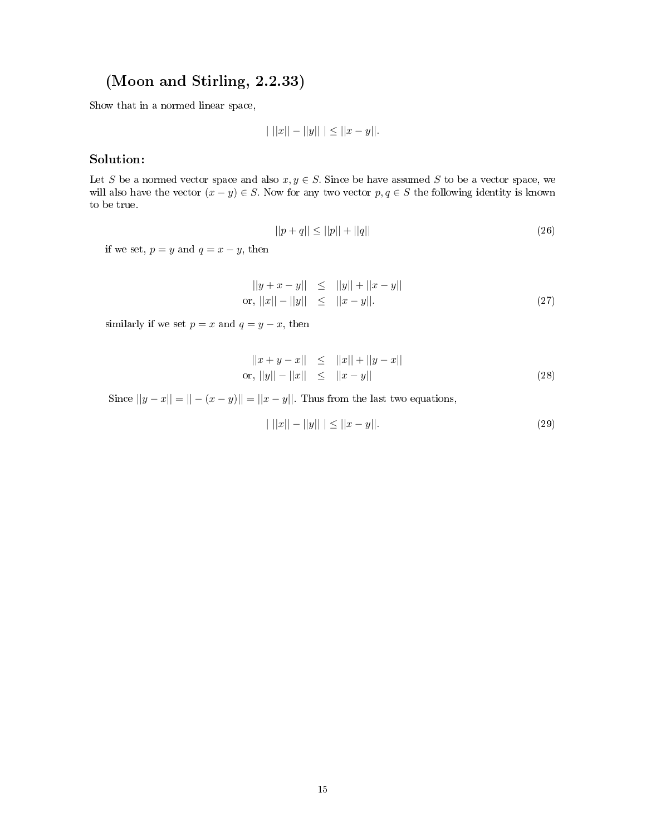# (Moon and Stirling, 2.2.33)

Show that in a normed linear space,

$$
| ||x|| - ||y|| | \le ||x - y||.
$$

### Solution:

Let S be a normed vector space and also  $x, y \in S$ . Since be have assumed S to be a vector space, we will also have the vector  $(x - y) \in S$ . Now for any two vector  $p, q \in S$  the following identity is known to be true.

$$
||p + q|| \le ||p|| + ||q|| \tag{26}
$$

if we set,  $p = y$  and  $q = x - y$ , then

$$
||y + x - y|| \le ||y|| + ||x - y||
$$
  
or, 
$$
||x|| - ||y|| \le ||x - y||.
$$
 (27)

similarly if we set  $p = x$  and  $q = y - x$ , then

$$
||x + y - x|| \le ||x|| + ||y - x||
$$
  
or, 
$$
||y|| - ||x|| \le ||x - y||
$$
 (28)

Since  $||y - x|| = || - (x - y)|| = ||x - y||$ . Thus from the last two equations,

$$
||x|| - ||y|| \le ||x - y||. \tag{29}
$$